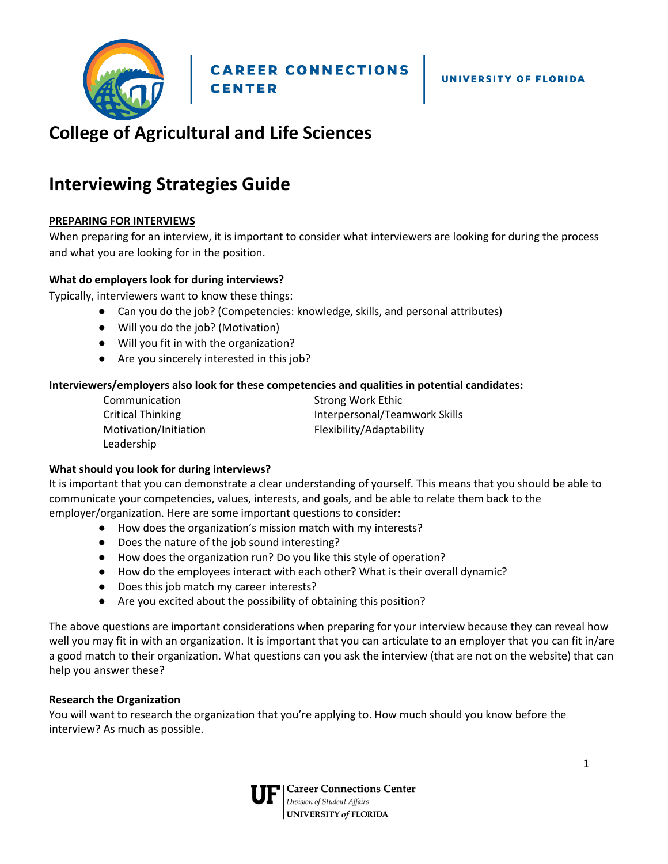

## **College of Agricultural and Life Sciences**

### **Interviewing Strategies Guide**

#### **PREPARING FOR INTERVIEWS**

When preparing for an interview, it is important to consider what interviewers are looking for during the process and what you are looking for in the position.

#### **What do employers look for during interviews?**

Typically, interviewers want to know these things:

- Can you do the job? (Competencies: knowledge, skills, and personal attributes)
- Will you do the job? (Motivation)
- Will you fit in with the organization?
- Are you sincerely interested in this job?

#### **Interviewers/employers also look for these competencies and qualities in potential candidates:**

| Communication            | <b>Strong Work Ethic</b>      |
|--------------------------|-------------------------------|
| <b>Critical Thinking</b> | Interpersonal/Teamwork Skills |
| Motivation/Initiation    | Flexibility/Adaptability      |
| Leadership               |                               |

#### **What should you look for during interviews?**

It is important that you can demonstrate a clear understanding of yourself. This means that you should be able to communicate your competencies, values, interests, and goals, and be able to relate them back to the employer/organization. Here are some important questions to consider:

- How does the organization's mission match with my interests?
- Does the nature of the job sound interesting?
- How does the organization run? Do you like this style of operation?
- How do the employees interact with each other? What is their overall dynamic?
- Does this job match my career interests?
- Are you excited about the possibility of obtaining this position?

The above questions are important considerations when preparing for your interview because they can reveal how well you may fit in with an organization. It is important that you can articulate to an employer that you can fit in/are a good match to their organization. What questions can you ask the interview (that are not on the website) that can help you answer these?

#### **Research the Organization**

You will want to research the organization that you're applying to. How much should you know before the interview? As much as possible.

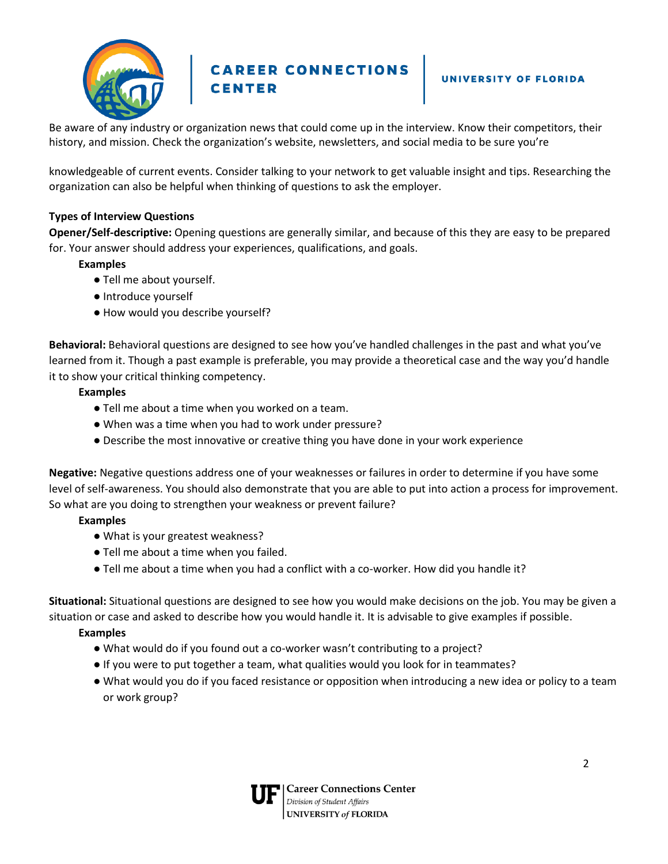

# **CAREER CONNECTIONS**<br>CENTER

#### UNIVERSITY OF FLORIDA

Be aware of any industry or organization news that could come up in the interview. Know their competitors, their history, and mission. Check the organization's website, newsletters, and social media to be sure you're

knowledgeable of current events. Consider talking to your network to get valuable insight and tips. Researching the organization can also be helpful when thinking of questions to ask the employer.

#### **Types of Interview Questions**

**Opener/Self-descriptive:** Opening questions are generally similar, and because of this they are easy to be prepared for. Your answer should address your experiences, qualifications, and goals.

#### **Examples**

- Tell me about yourself.
- Introduce yourself
- How would you describe yourself?

**Behavioral:** Behavioral questions are designed to see how you've handled challenges in the past and what you've learned from it. Though a past example is preferable, you may provide a theoretical case and the way you'd handle it to show your critical thinking competency.

#### **Examples**

- Tell me about a time when you worked on a team.
- When was a time when you had to work under pressure?
- Describe the most innovative or creative thing you have done in your work experience

**Negative:** Negative questions address one of your weaknesses or failures in order to determine if you have some level of self-awareness. You should also demonstrate that you are able to put into action a process for improvement. So what are you doing to strengthen your weakness or prevent failure?

#### **Examples**

- What is your greatest weakness?
- Tell me about a time when you failed.
- Tell me about a time when you had a conflict with a co-worker. How did you handle it?

**Situational:** Situational questions are designed to see how you would make decisions on the job. You may be given a situation or case and asked to describe how you would handle it. It is advisable to give examples if possible.

#### **Examples**

- What would do if you found out a co-worker wasn't contributing to a project?
- If you were to put together a team, what qualities would you look for in teammates?
- What would you do if you faced resistance or opposition when introducing a new idea or policy to a team or work group?

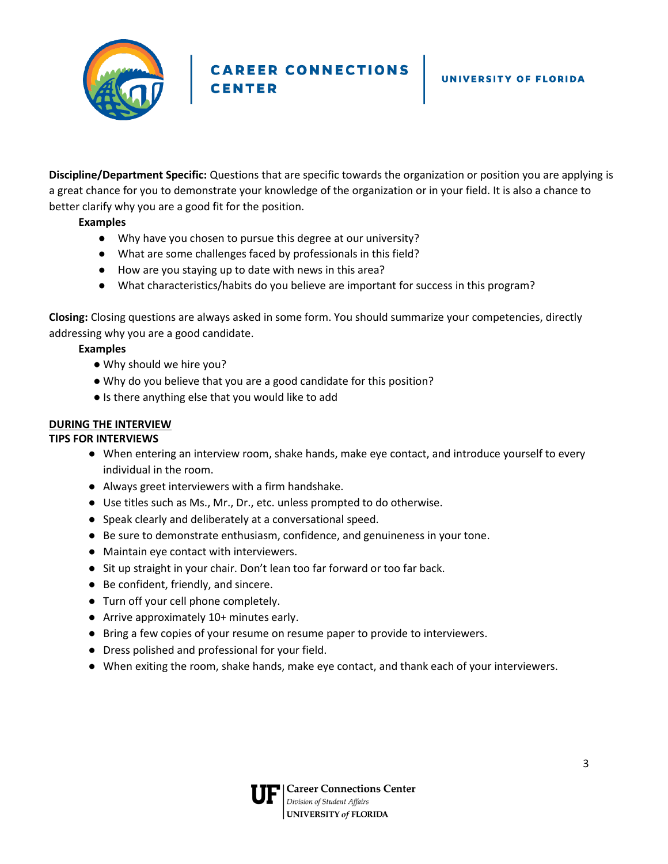

**CAREER CONNECTIONS**<br>CENTER **CENTER** 

**Discipline/Department Specific:** Questions that are specific towards the organization or position you are applying is a great chance for you to demonstrate your knowledge of the organization or in your field. It is also a chance to better clarify why you are a good fit for the position.

#### **Examples**

- Why have you chosen to pursue this degree at our university?
- What are some challenges faced by professionals in this field?
- How are you staying up to date with news in this area?
- What characteristics/habits do you believe are important for success in this program?

**Closing:** Closing questions are always asked in some form. You should summarize your competencies, directly addressing why you are a good candidate.

#### **Examples**

- Why should we hire you?
- Why do you believe that you are a good candidate for this position?
- Is there anything else that you would like to add

#### **DURING THE INTERVIEW**

#### **TIPS FOR INTERVIEWS**

- When entering an interview room, shake hands, make eye contact, and introduce yourself to every individual in the room.
- Always greet interviewers with a firm handshake.
- Use titles such as Ms., Mr., Dr., etc. unless prompted to do otherwise.
- Speak clearly and deliberately at a conversational speed.
- Be sure to demonstrate enthusiasm, confidence, and genuineness in your tone.
- Maintain eye contact with interviewers.
- Sit up straight in your chair. Don't lean too far forward or too far back.
- Be confident, friendly, and sincere.
- Turn off your cell phone completely.
- Arrive approximately 10+ minutes early.
- Bring a few copies of your resume on resume paper to provide to interviewers.
- Dress polished and professional for your field.
- When exiting the room, shake hands, make eye contact, and thank each of your interviewers.

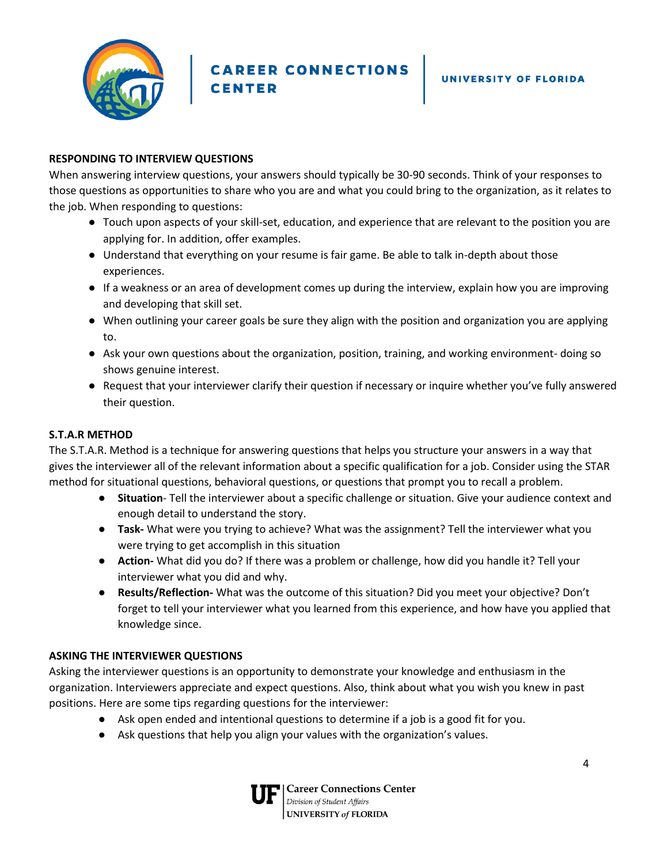

CAREER CONNECTIONS **CENTER** 

#### **RESPONDING TO INTERVIEW QUESTIONS**

When answering interview questions, your answers should typically be 30-90 seconds. Think of your responses to those questions as opportunities to share who you are and what you could bring to the organization, as it relates to the job. When responding to questions:

- Touch upon aspects of your skill-set, education, and experience that are relevant to the position you are applying for. In addition, offer examples.
- Understand that everything on your resume is fair game. Be able to talk in-depth about those experiences.
- If a weakness or an area of development comes up during the interview, explain how you are improving and developing that skill set.
- When outlining your career goals be sure they align with the position and organization you are applying to.
- Ask your own questions about the organization, position, training, and working environment- doing so shows genuine interest.
- Request that your interviewer clarify their question if necessary or inquire whether you've fully answered their question.

#### **S.T.A.R METHOD**

The S.T.A.R. Method is a technique for answering questions that helps you structure your answers in a way that gives the interviewer all of the relevant information about a specific qualification for a job. Consider using the STAR method for situational questions, behavioral questions, or questions that prompt you to recall a problem.

- **Situation** Tell the interviewer about a specific challenge or situation. Give your audience context and enough detail to understand the story.
- **Task-** What were you trying to achieve? What was the assignment? Tell the interviewer what you were trying to get accomplish in this situation
- **Action-** What did you do? If there was a problem or challenge, how did you handle it? Tell your interviewer what you did and why.
- **Results/Reflection-** What was the outcome of this situation? Did you meet your objective? Don't forget to tell your interviewer what you learned from this experience, and how have you applied that knowledge since.

#### **ASKING THE INTERVIEWER QUESTIONS**

Asking the interviewer questions is an opportunity to demonstrate your knowledge and enthusiasm in the organization. Interviewers appreciate and expect questions. Also, think about what you wish you knew in past positions. Here are some tips regarding questions for the interviewer:

- Ask open ended and intentional questions to determine if a job is a good fit for you.
- Ask questions that help you align your values with the organization's values.

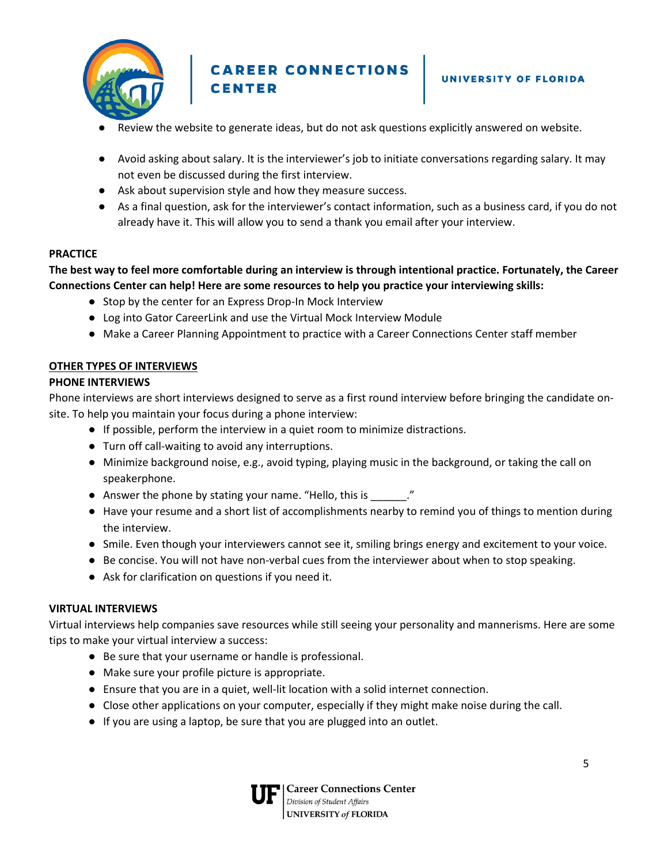

CAREER CONNECTIONS **CENTER** 

- Review the website to generate ideas, but do not ask questions explicitly answered on website.
- Avoid asking about salary. It is the interviewer's job to initiate conversations regarding salary. It may not even be discussed during the first interview.
- Ask about supervision style and how they measure success.
- As a final question, ask for the interviewer's contact information, such as a business card, if you do not already have it. This will allow you to send a thank you email after your interview.

#### **PRACTICE**

#### **The best way to feel more comfortable during an interview is through intentional practice. Fortunately, the Career Connections Center can help! Here are some resources to help you practice your interviewing skills:**

- Stop by the center for an Express Drop-In Mock Interview
- Log into Gator CareerLink and use the Virtual Mock Interview Module
- Make a Career Planning Appointment to practice with a Career Connections Center staff member

#### **OTHER TYPES OF INTERVIEWS**

#### **PHONE INTERVIEWS**

Phone interviews are short interviews designed to serve as a first round interview before bringing the candidate onsite. To help you maintain your focus during a phone interview:

- If possible, perform the interview in a quiet room to minimize distractions.
- Turn off call-waiting to avoid any interruptions.
- Minimize background noise, e.g., avoid typing, playing music in the background, or taking the call on speakerphone.
- Answer the phone by stating your name. "Hello, this is \_\_\_\_\_\_\_."
- Have your resume and a short list of accomplishments nearby to remind you of things to mention during the interview.
- Smile. Even though your interviewers cannot see it, smiling brings energy and excitement to your voice.
- Be concise. You will not have non-verbal cues from the interviewer about when to stop speaking.
- Ask for clarification on questions if you need it.

#### **VIRTUAL INTERVIEWS**

Virtual interviews help companies save resources while still seeing your personality and mannerisms. Here are some tips to make your virtual interview a success:

- Be sure that your username or handle is professional.
- Make sure your profile picture is appropriate.
- Ensure that you are in a quiet, well-lit location with a solid internet connection.
- Close other applications on your computer, especially if they might make noise during the call.
- If you are using a laptop, be sure that you are plugged into an outlet.